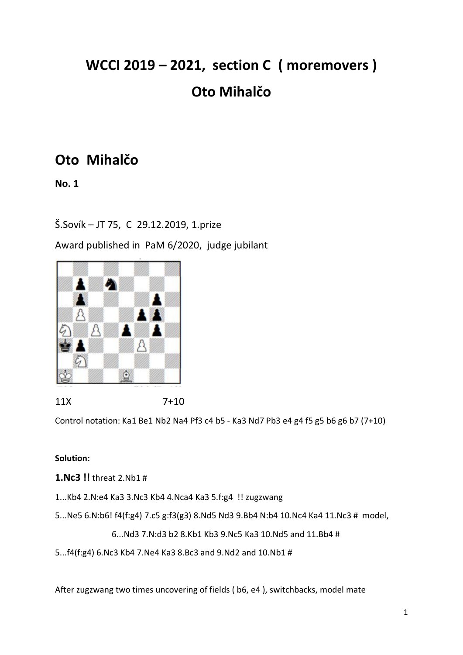# **WCCI 2019 – 2021, section C ( moremovers ) Oto Mihalčo**

# **Oto Mihalčo**

**No. 1**

Š.Sovík – JT 75, C 29.12.2019, 1.prize

Award published in PaM 6/2020, judge jubilant



11X 7+10

Control notation: Ka1 Be1 Nb2 Na4 Pf3 c4 b5 - Ka3 Nd7 Pb3 e4 g4 f5 g5 b6 g6 b7 (7+10)

### **Solution:**

**1.Nc3 !!** threat 2.Nb1 #

- 1...Kb4 2.N:e4 Ka3 3.Nc3 Kb4 4.Nca4 Ka3 5.f:g4 !! zugzwang
- 5...Ne5 6.N:b6! f4(f:g4) 7.c5 g:f3(g3) 8.Nd5 Nd3 9.Bb4 N:b4 10.Nc4 Ka4 11.Nc3 # model,

6...Nd3 7.N:d3 b2 8.Kb1 Kb3 9.Nc5 Ka3 10.Nd5 and 11.Bb4 #

5...f4(f:g4) 6.Nc3 Kb4 7.Ne4 Ka3 8.Bc3 and 9.Nd2 and 10.Nb1 #

After zugzwang two times uncovering of fields ( b6, e4 ), switchbacks, model mate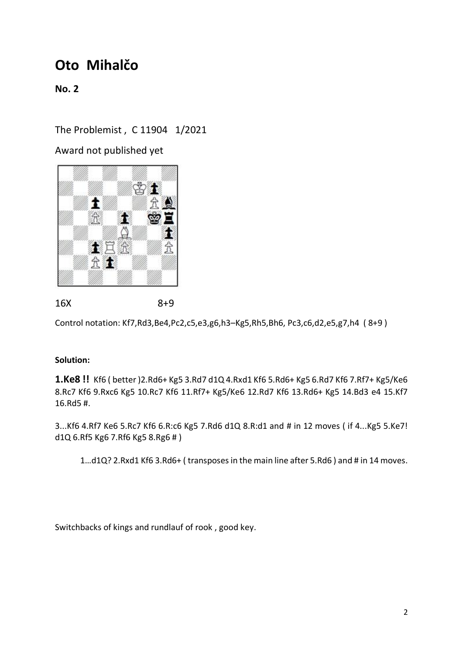**No. 2**

The Problemist , C 11904 1/2021

Award not published yet



16X 8+9

Control notation: Kf7,Rd3,Be4,Pc2,c5,e3,g6,h3–Kg5,Rh5,Bh6, Pc3,c6,d2,e5,g7,h4 ( 8+9 )

#### **Solution:**

**1.Ke8 !!** Kf6 ( better )2.Rd6+ Kg5 3.Rd7 d1Q 4.Rxd1 Kf6 5.Rd6+ Kg5 6.Rd7 Kf6 7.Rf7+ Kg5/Ke6 8.Rc7 Kf6 9.Rxc6 Kg5 10.Rc7 Kf6 11.Rf7+ Kg5/Ke6 12.Rd7 Kf6 13.Rd6+ Kg5 14.Bd3 e4 15.Kf7 16.Rd5 #.

3...Kf6 4.Rf7 Ke6 5.Rc7 Kf6 6.R:c6 Kg5 7.Rd6 d1Q 8.R:d1 and # in 12 moves ( if 4...Kg5 5.Ke7! d1Q 6.Rf5 Kg6 7.Rf6 Kg5 8.Rg6 # )

1…d1Q? 2.Rxd1 Kf6 3.Rd6+ ( transposes in the main line after 5.Rd6 ) and # in 14 moves.

Switchbacks of kings and rundlauf of rook , good key.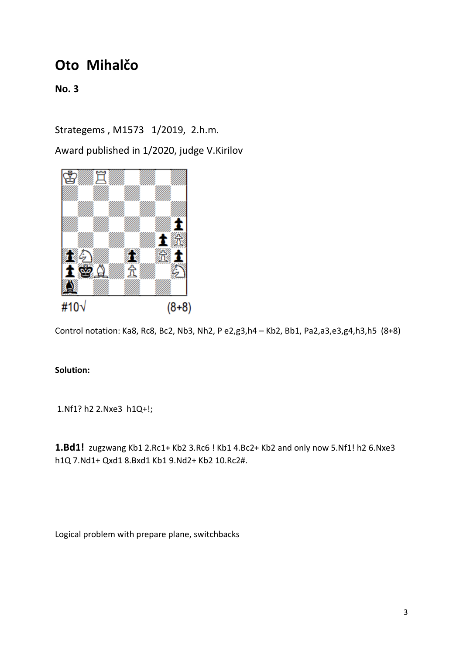**No. 3**

Strategems , M1573 1/2019, 2.h.m.

Award published in 1/2020, judge V.Kirilov



Control notation: Ka8, Rc8, Bc2, Nb3, Nh2, P e2,g3,h4 – Kb2, Bb1, Pa2,a3,e3,g4,h3,h5 (8+8)

#### **Solution:**

1.Nf1? h2 2.Nxe3 h1Q+!;

**1.Bd1!** zugzwang Kb1 2.Rc1+ Kb2 3.Rc6 ! Kb1 4.Bc2+ Kb2 and only now 5.Nf1! h2 6.Nxe3 h1Q 7.Nd1+ Qxd1 8.Bxd1 Kb1 9.Nd2+ Kb2 10.Rc2#.

Logical problem with prepare plane, switchbacks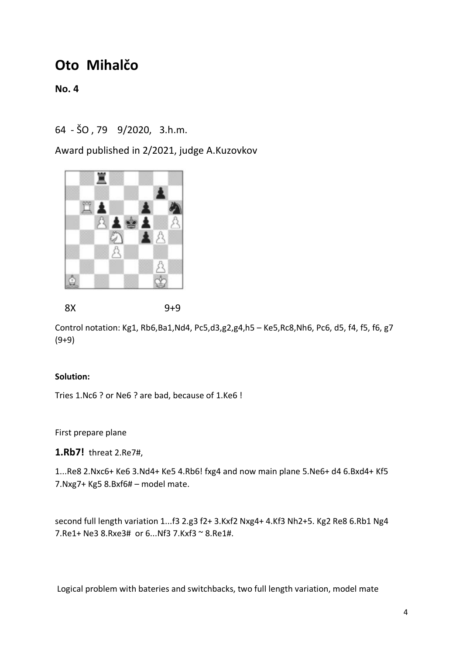**No. 4**

64 - ŠO , 79 9/2020, 3.h.m.

Award published in 2/2021, judge A.Kuzovkov



8X 9+9

Control notation: Kg1, Rb6,Ba1,Nd4, Pc5,d3,g2,g4,h5 – Ke5,Rc8,Nh6, Pc6, d5, f4, f5, f6, g7 (9+9)

#### **Solution:**

Tries 1.Nc6 ? or Ne6 ? are bad, because of 1.Ke6 !

First prepare plane

**1.Rb7!** threat 2.Re7#,

1...Re8 2.Nxc6+ Ke6 3.Nd4+ Ke5 4.Rb6! fxg4 and now main plane 5.Ne6+ d4 6.Bxd4+ Kf5 7.Nxg7+ Kg5 8.Bxf6# – model mate.

second full length variation 1...f3 2.g3 f2+ 3.Kxf2 Nxg4+ 4.Kf3 Nh2+5. Kg2 Re8 6.Rb1 Ng4 7.Re1+ Ne3 8.Rxe3# or 6...Nf3 7.Kxf3 ~ 8.Re1#.

Logical problem with bateries and switchbacks, two full length variation, model mate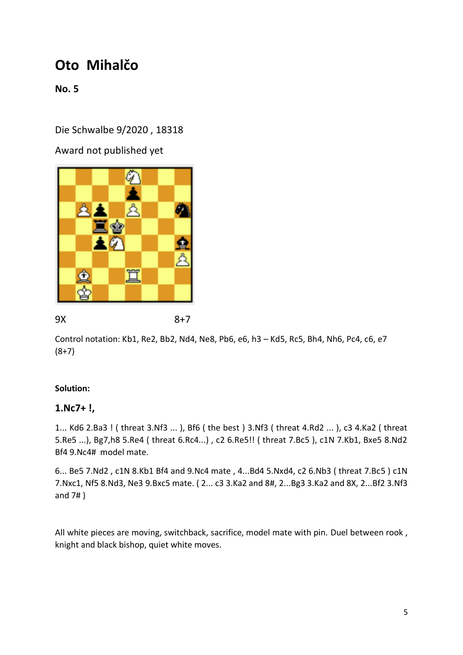**No. 5**

Die Schwalbe 9/2020 , 18318

Award not published yet



9X 8+7

Control notation: Kb1, Re2, Bb2, Nd4, Ne8, Pb6, e6, h3 – Kd5, Rc5, Bh4, Nh6, Pc4, c6, e7  $(8+7)$ 

### **Solution:**

### **1.Nc7+ !,**

1... Kd6 2.Ba3 ! ( threat 3.Nf3 ... ), Bf6 ( the best ) 3.Nf3 ( threat 4.Rd2 ... ), c3 4.Ka2 ( threat 5.Re5 ...), Bg7,h8 5.Re4 ( threat 6.Rc4...) , c2 6.Re5!! ( threat 7.Bc5 ), c1N 7.Kb1, Bxe5 8.Nd2 Bf4 9.Nc4# model mate.

6... Be5 7.Nd2 , c1N 8.Kb1 Bf4 and 9.Nc4 mate , 4...Bd4 5.Nxd4, c2 6.Nb3 ( threat 7.Bc5 ) c1N 7.Nxc1, Nf5 8.Nd3, Ne3 9.Bxc5 mate. ( 2... c3 3.Ka2 and 8#, 2...Bg3 3.Ka2 and 8X, 2...Bf2 3.Nf3 and 7# )

All white pieces are moving, switchback, sacrifice, model mate with pin. Duel between rook , knight and black bishop, quiet white moves.